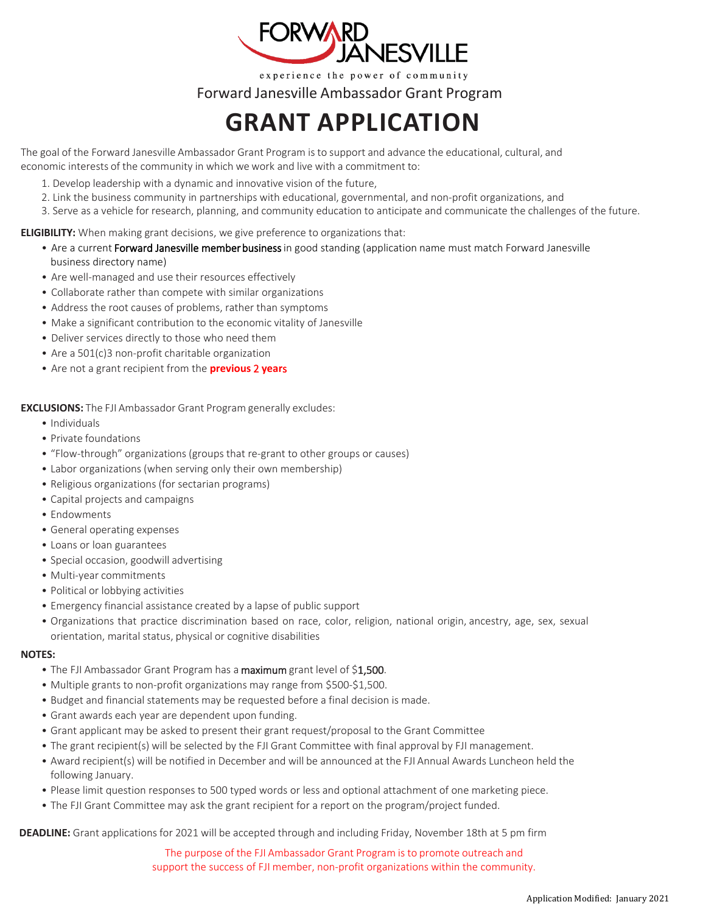

experience the power of community

Forward Janesville Ambassador Grant Program

## **GRANT APPLICATION**

The goal of the Forward Janesville Ambassador Grant Program is to support and advance the educational, cultural, and economic interests of the community in which we work and live with a commitment to:

- 1. Develop leadership with a dynamic and innovative vision of the future,
- 2. Link the business community in partnerships with educational, governmental, and non-profit organizations, and
- 3. Serve as a vehicle for research, planning, and community education to anticipate and communicate the challenges of the future.

## **ELIGIBILITY:** When making grant decisions, we give preference to organizations that:

- Are a current Forward Janesville member business in good standing (application name must match Forward Janesville business directory name)
- Are well-managed and use their resources effectively
- Collaborate rather than compete with similar organizations
- Address the root causes of problems, rather than symptoms
- Make a significant contribution to the economic vitality of Janesville
- Deliver services directly to those who need them
- Are a 501(c)3 non-profit charitable organization
- Are not a grant recipient from the **previous** 2 **year**s

**EXCLUSIONS:** The FJI Ambassador Grant Program generally excludes:

- Individuals
- Private foundations
- "Flow-through" organizations (groups that re-grant to other groups or causes)
- Labor organizations (when serving only their own membership)
- Religious organizations (for sectarian programs)
- Capital projects and campaigns
- Endowments
- General operating expenses
- Loans or loan guarantees
- Special occasion, goodwill advertising
- Multi-year commitments
- Political or lobbying activities
- Emergency financial assistance created by a lapse of public support
- Organizations that practice discrimination based on race, color, religion, national origin, ancestry, age, sex, sexual orientation, marital status, physical or cognitive disabilities

## **NOTES:**

- The FJI Ambassador Grant Program has a maximum grant level of \$1,500.
- Multiple grants to non-profit organizations may range from \$500-\$1,500.
- Budget and financial statements may be requested before a final decision is made.
- Grant awards each year are dependent upon funding.
- Grant applicant may be asked to present their grant request/proposal to the Grant Committee
- The grant recipient(s) will be selected by the FJI Grant Committee with final approval by FJI management.
- Award recipient(s) will be notified in December and will be announced at the FJI Annual Awards Luncheon held the following January.
- Please limit question responses to 500 typed words or less and optional attachment of one marketing piece.
- The FJI Grant Committee may ask the grant recipient for a report on the program/project funded.

**DEADLINE:** Grant applications for 2021 will be accepted through and including Friday, November 18th at 5 pm firm

The purpose of the FJI Ambassador Grant Program is to promote outreach and support the success of FJI member, non-profit organizations within the community.